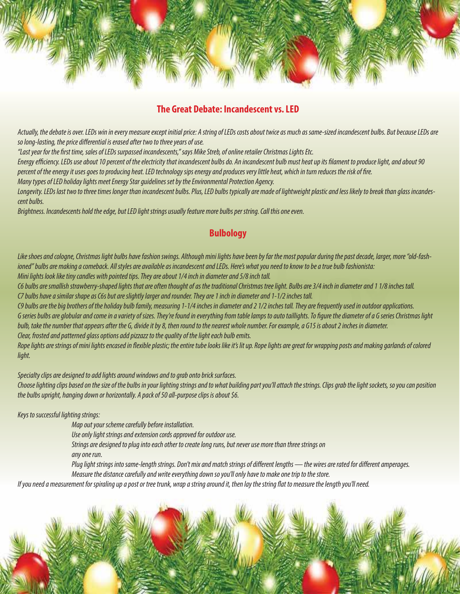

# **The Great Debate: Incandescent vs. LED**

*Actually, the debate is over. LEDs win in every measure except initial price: A string of LEDs costs about twice as much as same-sized incandescent bulbs. But because LEDs are*  so long-lasting, the price differential is erased after two to three years of use.

*"Last year for the rst time, sales of LEDs surpassed incandescents," says Mike Streb, of online retailer Christmas Lights Etc.*

*Energy eciency. LEDs use about 10 percent of the electricity that incandescent bulbs do. An incandescent bulb must heat up its lament to produce light, and about 90 percent of the energy it uses goes to producing heat. LED technology sips energy and produces very little heat, which in turn reduces the risk of re.*

*Many types of LED holiday lights meet Energy Star guidelines set by the Environmental Protection Agency.*

*Longevity. LEDs last two to three times longer than incandescent bulbs. Plus, LED bulbs typically are made of lightweight plastic and less likely to break than glass incandescent bulbs.*

*Brightness. Incandescents hold the edge, but LED light strings usually feature more bulbs per string. Call this one even.*

## **Bulbology**

*Like shoes and cologne, Christmas light bulbs have fashion swings. Although mini lights have been by far the most popular during the past decade, larger, more "old-fashioned" bulbs are making a comeback. All styles are available as incandescent and LEDs. Here's what you need to know to be a true bulb fashionista:*

*Mini lights look like tiny candles with pointed tips. They are about 1/4 inch in diameter and 5/8 inch tall.*

*C6 bulbs are smallish strawberry-shaped lights that are often thought of as the traditional Christmas tree light. Bulbs are 3/4 inch in diameter and 1 1/8 inches tall. C7 bulbs have a similar shape as C6s but are slightly larger and rounder. They are 1 inch in diameter and 1-1/2 inches tall.*

*C9 bulbs are the big brothers of the holiday bulb family, measuring 1-1/4 inches in diameter and 2 1/2 inches tall. They are frequently used in outdoor applications.* G series bulbs are globular and come in a variety of sizes. They're found in everything from table lamps to auto taillights. To figure the diameter of a G series Christmas light *bulb, take the number that appears after the G, divide it by 8, then round to the nearest whole number. For example, a G15 is about 2 inches in diameter. Clear, frosted and patterned glass options add pizzazz to the quality of the light each bulb emits.*

*Rope lights are strings of mini lights encased in exible plastic; the entire tube looks like it's lit up. Rope lights are great for wrapping posts and making garlands of colored light.*

*Specialty clips are designed to add lights around windows and to grab onto brick surfaces.*

*Choose lighting clips based on the size of the bulbs in your lighting strings and to what building part you'll attach the strings. Clips grab the light sockets, so you can position the bulbs upright, hanging down or horizontally. A pack of 50 all-purpose clips is about \$6.*

*Keys to successful lighting strings:*

 *Map out your scheme carefully before installation.*

 *Use only light strings and extension cords approved for outdoor use.*

 *Strings are designed to plug into each other to create long runs, but never use more than three strings on* 

 *any one run.*

Plug light strings into same-length strings. Don't mix and match strings of different lengths — the wires are rated for different amperages.  *Measure the distance carefully and write everything down so you'll only have to make one trip to the store.*

*If you need a measurement for spiraling up a post or tree trunk, wrap a string around it, then lay the string at to measure the length you'll need.*